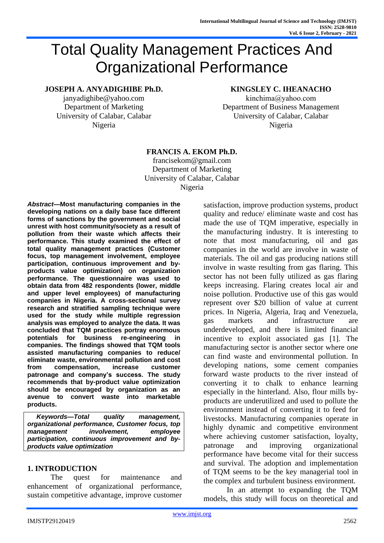# Total Quality Management Practices And Organizational Performance

### **JOSEPH A. ANYADIGHIBE Ph.D.**

janyadighibe@yahoo.com Department of Marketing University of Calabar, Calabar Nigeria

# **KINGSLEY C. IHEANACHO**

kinchima@yahoo.com Department of Business Management University of Calabar, Calabar Nigeria

#### **FRANCIS A. EKOM Ph.D.**

francisekom@gmail.com Department of Marketing University of Calabar, Calabar Nigeria

*Abstract***—Most manufacturing companies in the developing nations on a daily base face different forms of sanctions by the government and social unrest with host community/society as a result of pollution from their waste which affects their performance. This study examined the effect of total quality management practices (Customer focus, top management involvement, employee participation, continuous improvement and byproducts value optimization) on organization performance. The questionnaire was used to obtain data from 482 respondents (lower, middle and upper level employees) of manufacturing companies in Nigeria. A cross-sectional survey research and stratified sampling technique were used for the study while multiple regression analysis was employed to analyze the data. It was concluded that TQM practices portray enormous potentials for business re-engineering in companies. The findings showed that TQM tools assisted manufacturing companies to reduce/ eliminate waste, environmental pollution and cost from compensation, increase customer patronage and company's success. The study recommends that by-product value optimization should be encouraged by organization as an avenue to convert waste into marketable products.** 

*Keywords—Total quality management, organizational performance, Customer focus, top management involvement, employee participation, continuous improvement and byproducts value optimization* 

#### **1. INTRODUCTION**

The quest for maintenance and enhancement of organizational performance, sustain competitive advantage, improve customer satisfaction, improve production systems, product quality and reduce/ eliminate waste and cost has made the use of TQM imperative, especially in the manufacturing industry. It is interesting to note that most manufacturing, oil and gas companies in the world are involve in waste of materials. The oil and gas producing nations still involve in waste resulting from gas flaring. This sector has not been fully utilized as gas flaring keeps increasing. Flaring creates local air and noise pollution. Productive use of this gas would represent over \$20 billion of value at current prices. In Nigeria, Algeria, Iraq and Venezuela, gas markets and infrastructure are underdeveloped, and there is limited financial incentive to exploit associated gas [1]. The manufacturing sector is another sector where one can find waste and environmental pollution. In developing nations, some cement companies forward waste products to the river instead of converting it to chalk to enhance learning especially in the hinterland. Also, flour mills byproducts are underutilized and used to pollute the environment instead of converting it to feed for livestocks. Manufacturing companies operate in highly dynamic and competitive environment where achieving customer satisfaction, loyalty, patronage and improving organizational performance have become vital for their success and survival. The adoption and implementation of TQM seems to be the key managerial tool in the complex and turbulent business environment.

In an attempt to expanding the TQM models, this study will focus on theoretical and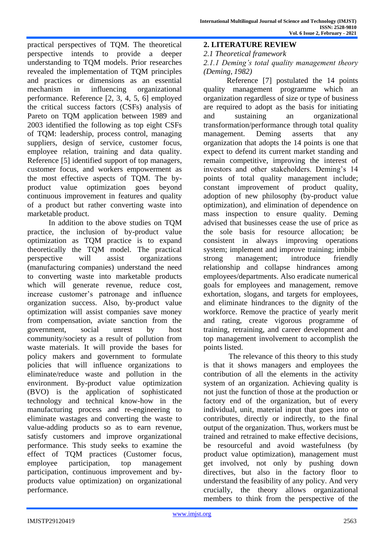practical perspectives of TQM. The theoretical perspective intends to provide a deeper understanding to TQM models. Prior researches revealed the implementation of TQM principles and practices or dimensions as an essential mechanism in influencing organizational performance. Reference [2, 3, 4, 5, 6] employed the critical success factors (CSFs) analysis of Pareto on TQM application between 1989 and 2003 identified the following as top eight CSFs of TQM: leadership, process control, managing suppliers, design of service, customer focus, employee relation, training and data quality. Reference [5] identified support of top managers, customer focus, and workers empowerment as the most effective aspects of TQM. The byproduct value optimization goes beyond continuous improvement in features and quality of a product but rather converting waste into marketable product.

 In addition to the above studies on TQM practice, the inclusion of by-product value optimization as TQM practice is to expand theoretically the TQM model. The practical perspective will assist organizations (manufacturing companies) understand the need to converting waste into marketable products which will generate revenue, reduce cost, increase customer's patronage and influence organization success. Also, by-product value optimization will assist companies save money from compensation, aviate sanction from the government, social unrest by host community/society as a result of pollution from waste materials. It will provide the bases for policy makers and government to formulate policies that will influence organizations to eliminate/reduce waste and pollution in the environment. By-product value optimization (BVO) is the application of sophisticated technology and technical know-how in the manufacturing process and re-engineering to eliminate wastages and converting the waste to value-adding products so as to earn revenue, satisfy customers and improve organizational performance. This study seeks to examine the effect of TQM practices (Customer focus, employee participation, top management participation, continuous improvement and byproducts value optimization) on organizational performance.

**2. LITERATURE REVIEW**

*2.1 Theoretical framework*

*2.1.1 Deming's total quality management theory (Deming, 1982)*

Reference [7] postulated the 14 points quality management programme which an organization regardless of size or type of business are required to adopt as the basis for initiating and sustaining an organizational transformation/performance through total quality management. Deming asserts that any organization that adopts the 14 points is one that expect to defend its current market standing and remain competitive, improving the interest of investors and other stakeholders. Deming's 14 points of total quality management include; constant improvement of product quality, adoption of new philosophy (by-product value optimization), and elimination of dependence on mass inspection to ensure quality. Deming advised that businesses cease the use of price as the sole basis for resource allocation; be consistent in always improving operations system; implement and improve training; imbibe strong management; introduce friendly relationship and collapse hindrances among employees/departments. Also eradicate numerical goals for employees and management, remove exhortation, slogans, and targets for employees, and eliminate hindrances to the dignity of the workforce. Remove the practice of yearly merit and rating, create vigorous programme of training, retraining, and career development and top management involvement to accomplish the points listed.

The relevance of this theory to this study is that it shows managers and employees the contribution of all the elements in the activity system of an organization. Achieving quality is not just the function of those at the production or factory end of the organization, but of every individual, unit, material input that goes into or contributes, directly or indirectly, to the final output of the organization. Thus, workers must be trained and retrained to make effective decisions, be resourceful and avoid wastefulness (by product value optimization), management must get involved, not only by pushing down directives, but also in the factory floor to understand the feasibility of any policy. And very crucially, the theory allows organizational members to think from the perspective of the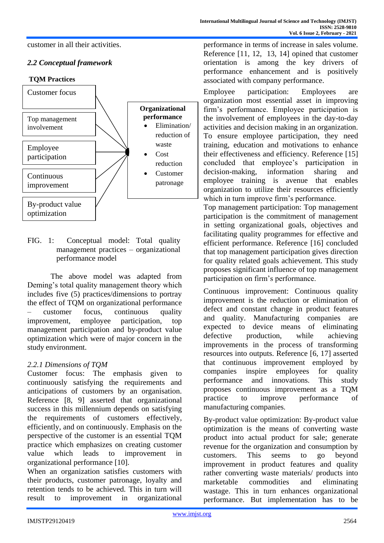customer in all their activities.

# *2.2 Conceptual framework*



FIG. 1: Conceptual model: Total quality management practices – organizational performance model

The above model was adapted from Deming's total quality management theory which includes five (5) practices/dimensions to portray the effect of TQM on organizational performance – customer focus, continuous quality improvement, employee participation, top management participation and by-product value optimization which were of major concern in the study environment.

# *2.2.1 Dimensions of TQM*

Customer focus: The emphasis given to continuously satisfying the requirements and anticipations of customers by an organisation. Reference [8, 9] asserted that organizational success in this millennium depends on satisfying the requirements of customers effectively, efficiently, and on continuously. Emphasis on the perspective of the customer is an essential TQM practice which emphasizes on creating customer value which leads to improvement in organizational performance [10].

When an organization satisfies customers with their products, customer patronage, loyalty and retention tends to be achieved. This in turn will result to improvement in organizational performance in terms of increase in sales volume. Reference [11, 12, 13, 14] opined that customer orientation is among the key drivers of performance enhancement and is positively associated with company performance.

Employee participation: Employees are organization most essential asset in improving firm's performance. Employee participation is the involvement of employees in the day-to-day activities and decision making in an organization. To ensure employee participation, they need training, education and motivations to enhance their effectiveness and efficiency. Reference [15] concluded that employee's participation in decision-making, information sharing and employee training is avenue that enables organization to utilize their resources efficiently which in turn improve firm's performance.

Top management participation: Top management participation is the commitment of management in setting organizational goals, objectives and facilitating quality programmes for effective and efficient performance. Reference [16] concluded that top management participation gives direction for quality related goals achievement. This study proposes significant influence of top management participation on firm's performance.

Continuous improvement: Continuous quality improvement is the reduction or elimination of defect and constant change in product features and quality. Manufacturing companies are expected to device means of eliminating defective production, while achieving improvements in the process of transforming resources into outputs. Reference [6, 17] asserted that continuous improvement employed by companies inspire employees for quality performance and innovations. This study proposes continuous improvement as a TQM practice to improve performance of manufacturing companies.

By-product value optimization: By-product value optimization is the means of converting waste product into actual product for sale; generate revenue for the organization and consumption by customers. This seems to go beyond improvement in product features and quality rather converting waste materials/ products into marketable commodities and eliminating wastage. This in turn enhances organizational performance. But implementation has to be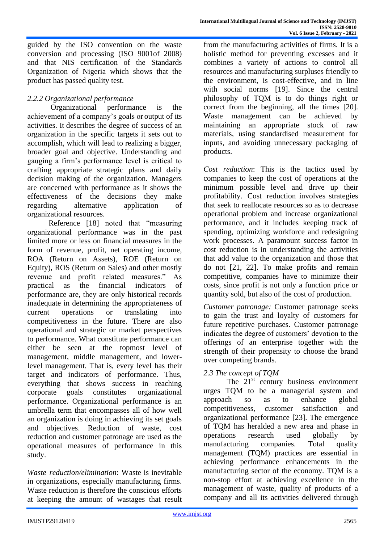guided by the ISO convention on the waste conversion and processing (ISO 9001of 2008) and that NIS certification of the Standards Organization of Nigeria which shows that the product has passed quality test.

# *2.2.2 Organizational performance*

 Organizational performance is the achievement of a company's goals or output of its activities. It describes the degree of success of an organization in the specific targets it sets out to accomplish, which will lead to realizing a bigger, broader goal and objective. Understanding and gauging a firm's performance level is critical to crafting appropriate strategic plans and daily decision making of the organization. Managers are concerned with performance as it shows the effectiveness of the decisions they make regarding alternative application of organizational resources.

Reference [18] noted that "measuring organizational performance was in the past limited more or less on financial measures in the form of revenue, profit, net operating income, ROA (Return on Assets), ROE (Return on Equity), ROS (Return on Sales) and other mostly revenue and profit related measures." As practical as the financial indicators of performance are, they are only historical records inadequate in determining the appropriateness of current operations or translating into competitiveness in the future. There are also operational and strategic or market perspectives to performance. What constitute performance can either be seen at the topmost level of management, middle management, and lowerlevel management. That is, every level has their target and indicators of performance. Thus, everything that shows success in reaching corporate goals constitutes organizational performance. Organizational performance is an umbrella term that encompasses all of how well an organization is doing in achieving its set goals and objectives. Reduction of waste, cost reduction and customer patronage are used as the operational measures of performance in this study.

*Waste reduction/elimination*: Waste is inevitable in organizations, especially manufacturing firms. Waste reduction is therefore the conscious efforts at keeping the amount of wastages that result from the manufacturing activities of firms. It is a holistic method for preventing excesses and it combines a variety of actions to control all resources and manufacturing surpluses friendly to the environment, is cost-effective, and in line with social norms [19]. Since the central philosophy of TQM is to do things right or correct from the beginning, all the times [20]. Waste management can be achieved by maintaining an appropriate stock of raw materials, using standardised measurement for inputs, and avoiding unnecessary packaging of products.

*Cost reduction*: This is the tactics used by companies to keep the cost of operations at the minimum possible level and drive up their profitability. Cost reduction involves strategies that seek to reallocate resources so as to decrease operational problem and increase organizational performance, and it includes keeping track of spending, optimizing workforce and redesigning work processes. A paramount success factor in cost reduction is in understanding the activities that add value to the organization and those that do not [21, 22]. To make profits and remain competitive, companies have to minimize their costs, since profit is not only a function price or quantity sold, but also of the cost of production.

*Customer patronage:* Customer patronage seeks to gain the trust and loyalty of customers for future repetitive purchases. Customer patronage indicates the degree of customers' devotion to the offerings of an enterprise together with the strength of their propensity to choose the brand over competing brands.

# *2.3 The concept of TQM*

The  $21<sup>st</sup>$  century business environment urges TQM to be a managerial system and approach so as to enhance global competitiveness, customer satisfaction and organizational performance [23]. The emergence of TQM has heralded a new area and phase in operations research used globally by manufacturing companies. Total quality management (TQM) practices are essential in achieving performance enhancements in the manufacturing sector of the economy. TQM is a non-stop effort at achieving excellence in the management of waste, quality of products of a company and all its activities delivered through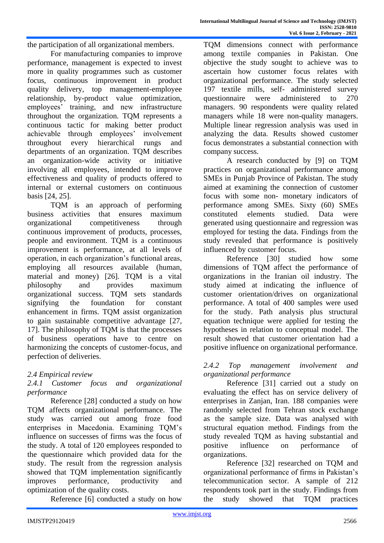the participation of all organizational members.

For manufacturing companies to improve performance, management is expected to invest more in quality programmes such as customer focus, continuous improvement in product quality delivery, top management-employee relationship, by-product value optimization, employees' training, and new infrastructure throughout the organization. TQM represents a continuous tactic for making better product achievable through employees' involvement throughout every hierarchical rungs and departments of an organization. TQM describes an organization-wide activity or initiative involving all employees, intended to improve effectiveness and quality of products offered to internal or external customers on continuous basis [24, 25].

TQM is an approach of performing business activities that ensures maximum organizational competitiveness through continuous improvement of products, processes, people and environment. TQM is a continuous improvement is performance, at all levels of operation, in each organization's functional areas, employing all resources available (human, material and money) [26]. TQM is a vital philosophy and provides maximum organizational success. TQM sets standards signifying the foundation for constant enhancement in firms. TQM assist organization to gain sustainable competitive advantage [27, 17]. The philosophy of TQM is that the processes of business operations have to centre on harmonizing the concepts of customer-focus, and perfection of deliveries.

# *2.4 Empirical review*

# *2.4.1 Customer focus and organizational performance*

Reference [28] conducted a study on how TQM affects organizational performance. The study was carried out among froze food enterprises in Macedonia. Examining TQM's influence on successes of firms was the focus of the study. A total of 120 employees responded to the questionnaire which provided data for the study. The result from the regression analysis showed that TQM implementation significantly improves performance, productivity and optimization of the quality costs.

Reference [6] conducted a study on how

TQM dimensions connect with performance among textile companies in Pakistan. One objective the study sought to achieve was to ascertain how customer focus relates with organizational performance. The study selected 197 textile mills, self- administered survey questionnaire were administered to 270 managers. 90 respondents were quality related managers while 18 were non-quality managers. Multiple linear regression analysis was used in analyzing the data. Results showed customer focus demonstrates a substantial connection with company success.

A research conducted by [9] on TQM practices on organizational performance among SMEs in Punjab Province of Pakistan. The study aimed at examining the connection of customer focus with some non- monetary indicators of performance among SMEs. Sixty (60) SMEs constituted elements studied. Data were generated using questionnaire and regression was employed for testing the data. Findings from the study revealed that performance is positively influenced by customer focus.

Reference [30] studied how some dimensions of TQM affect the performance of organizations in the Iranian oil industry. The study aimed at indicating the influence of customer orientation/drives on organizational performance. A total of 400 samples were used for the study. Path analysis plus structural equation technique were applied for testing the hypotheses in relation to conceptual model. The result showed that customer orientation had a positive influence on organizational performance.

# *2.4.2 Top management involvement and organizational performance*

Reference [31] carried out a study on evaluating the effect has on service delivery of enterprises in Zanjan, Iran. 188 companies were randomly selected from Tehran stock exchange as the sample size. Data was analysed with structural equation method. Findings from the study revealed TQM as having substantial and positive influence on performance of organizations.

Reference [32] researched on TQM and organizational performance of firms in Pakistan's telecommunication sector. A sample of 212 respondents took part in the study. Findings from the study showed that TQM practices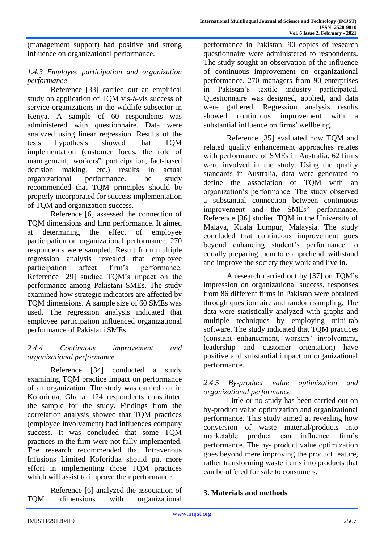(management support) had positive and strong influence on organizational performance.

# *1.4.3 Employee participation and organization performance*

Reference [33] carried out an empirical study on application of TQM vis-à-vis success of service organizations in the wildlife subsector in Kenya. A sample of 60 respondents was administered with questionnaire. Data were analyzed using linear regression. Results of the tests hypothesis showed that TQM implementation (customer focus, the role of management, workers" participation, fact-based decision making, etc.) results in actual organizational performance. The study recommended that TQM principles should be properly incorporated for success implementation of TQM and organization success.

Reference [6] assessed the connection of TQM dimensions and firm performance. It aimed at determining the effect of employee participation on organizational performance. 270 respondents were sampled. Result from multiple regression analysis revealed that employee participation affect firm's performance. Reference [29] studied TQM's impact on the performance among Pakistani SMEs. The study examined how strategic indicators are affected by TQM dimensions. A sample size of 60 SMEs was used. The regression analysis indicated that employee participation influenced organizational performance of Pakistani SMEs.

# *2.4.4 Continuous improvement and organizational performance*

Reference [34] conducted a study examining TQM practice impact on performance of an organization. The study was carried out in Koforidua, Ghana. 124 respondents constituted the sample for the study. Findings from the correlation analysis showed that TQM practices (employee involvement) had influences company success. It was concluded that some TQM practices in the firm were not fully implemented. The research recommended that Intravenous Infusions Limited Koforidua should put more effort in implementing those TQM practices which will assist to improve their performance.

Reference [6] analyzed the association of TQM dimensions with organizational

performance in Pakistan. 90 copies of research questionnaire were administered to respondents. The study sought an observation of the influence of continuous improvement on organizational performance. 270 managers from 90 enterprises in Pakistan's textile industry participated. Questionnaire was designed, applied, and data were gathered. Regression analysis results showed continuous improvement with a substantial influence on firms' wellbeing.

Reference [35] evaluated how TQM and related quality enhancement approaches relates with performance of SMEs in Australia. 62 firms were involved in the study. Using the quality standards in Australia, data were generated to define the association of TQM with an organization's performance. The study observed a substantial connection between continuous improvement and the SMEs" performance. Reference [36] studied TQM in the University of Malaya, Kuala Lumpur, Malaysia. The study concluded that continuous improvement goes beyond enhancing student's performance to equally preparing them to comprehend, withstand and improve the society they work and live in.

A research carried out by [37] on TQM's impression on organizational success, responses from 86 different firms in Pakistan were obtained through questionnaire and random sampling. The data were statistically analyzed with graphs and multiple techniques by employing mini-tab software. The study indicated that TQM practices (constant enhancement, workers' involvement, leadership and customer orientation) have positive and substantial impact on organizational performance.

# *2.4.5 By-product value optimization and organizational performance*

Little or no study has been carried out on by-product value optimization and organizational performance. This study aimed at revealing how conversion of waste material/products into marketable product can influence firm's performance. The by- product value optimization goes beyond mere improving the product feature, rather transforming waste items into products that can be offered for sale to consumers.

# **3. Materials and methods**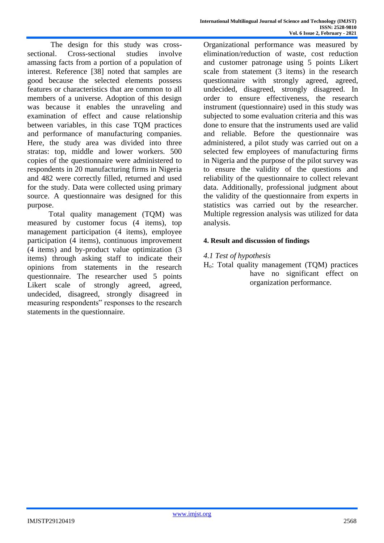The design for this study was crosssectional. Cross-sectional studies involve amassing facts from a portion of a population of interest. Reference [38] noted that samples are good because the selected elements possess features or characteristics that are common to all members of a universe. Adoption of this design was because it enables the unraveling and examination of effect and cause relationship between variables, in this case TQM practices and performance of manufacturing companies. Here, the study area was divided into three stratas: top, middle and lower workers. 500 copies of the questionnaire were administered to respondents in 20 manufacturing firms in Nigeria and 482 were correctly filled, returned and used for the study. Data were collected using primary source. A questionnaire was designed for this purpose.

 Total quality management (TQM) was measured by customer focus (4 items), top management participation (4 items), employee participation (4 items), continuous improvement (4 items) and by-product value optimization (3 items) through asking staff to indicate their opinions from statements in the research questionnaire. The researcher used 5 points Likert scale of strongly agreed, agreed, undecided, disagreed, strongly disagreed in measuring respondents" responses to the research statements in the questionnaire.

Organizational performance was measured by elimination/reduction of waste, cost reduction and customer patronage using 5 points Likert scale from statement (3 items) in the research questionnaire with strongly agreed, agreed, undecided, disagreed, strongly disagreed. In order to ensure effectiveness, the research instrument (questionnaire) used in this study was subjected to some evaluation criteria and this was done to ensure that the instruments used are valid and reliable. Before the questionnaire was administered, a pilot study was carried out on a selected few employees of manufacturing firms in Nigeria and the purpose of the pilot survey was to ensure the validity of the questions and reliability of the questionnaire to collect relevant data. Additionally, professional judgment about the validity of the questionnaire from experts in statistics was carried out by the researcher. Multiple regression analysis was utilized for data analysis.

# **4. Result and discussion of findings**

#### *4.1 Test of hypothesis*

Ho: Total quality management (TQM) practices have no significant effect on organization performance.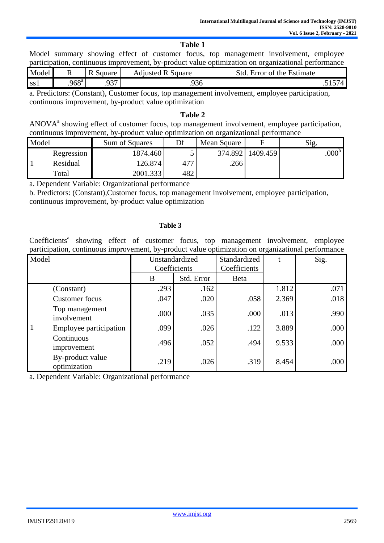#### **Table 1**

Model summary showing effect of customer focus, top management involvement, employee participation, continuous improvement, by-product value optimization on organizational performance

| Model           |               | $\overline{\phantom{a}}$<br>$\sim$<br>Square<br> | Square<br>Adjusted R | $\overline{\phantom{0}}$<br>Std<br>Estimate<br>∩t<br>Error<br>the |
|-----------------|---------------|--------------------------------------------------|----------------------|-------------------------------------------------------------------|
| SS <sub>1</sub> | $968^{\circ}$ | $\sim$<br><u>. .</u>                             | .936                 | $ -$<br>$\cdot$                                                   |

a. Predictors: (Constant), Customer focus, top management involvement, employee participation, continuous improvement, by-product value optimization

#### **Table 2**

ANOVA<sup>a</sup> showing effect of customer focus, top management involvement, employee participation, continuous improvement, by-product value optimization on organizational performance

| Model |            | Sum of Squares | Df  | Mean Square |          | $\sim$<br>$\mathrm{S12}$ . |
|-------|------------|----------------|-----|-------------|----------|----------------------------|
|       | Regression | 1874.460       |     | 374.892     | 1409.459 | 000 <sup>b</sup>           |
|       | Residual   | 126.874        | 477 | .2661       |          |                            |
|       | Total      | 2001.333       | 482 |             |          |                            |

a. Dependent Variable: Organizational performance

b. Predictors: (Constant),Customer focus, top management involvement, employee participation, continuous improvement, by-product value optimization

#### **Table 3**

Coefficients<sup>a</sup> showing effect of customer focus, top management involvement, employee participation, continuous improvement, by-product value optimization on organizational performance

| Model        |                                  | Coefficients | Unstandardized | Standardized<br>Coefficients |       | Sig. |
|--------------|----------------------------------|--------------|----------------|------------------------------|-------|------|
|              |                                  | B            | Std. Error     | <b>B</b> eta                 |       |      |
| $\mathbf{1}$ | (Constant)                       | .293         | .162           |                              | 1.812 | .071 |
|              | <b>Customer</b> focus            | .047         | .020           | .058                         | 2.369 | .018 |
|              | Top management<br>involvement    | .000         | .035           | .000                         | .013  | .990 |
|              | Employee participation           | .099         | .026           | .122                         | 3.889 | .000 |
|              | Continuous<br>improvement        | .496         | .052           | .494                         | 9.533 | .000 |
|              | By-product value<br>optimization | .219         | .026           | .319                         | 8.454 | .000 |

a. Dependent Variable: Organizational performance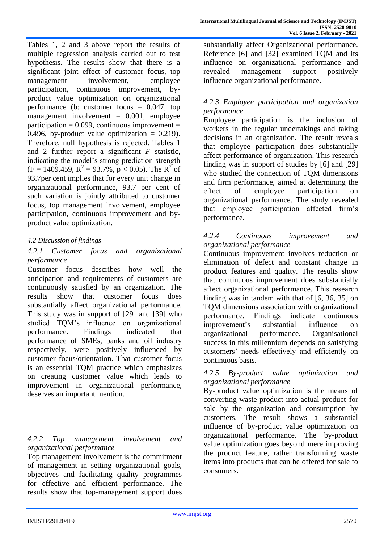Tables 1, 2 and 3 above report the results of multiple regression analysis carried out to test hypothesis. The results show that there is a significant joint effect of customer focus, top management involvement, employee participation, continuous improvement, byproduct value optimization on organizational performance (b: customer focus  $= 0.047$ , top management involvement  $= 0.001$ , employee participation =  $0.099$ , continuous improvement = 0.496, by-product value optimization  $= 0.219$ . Therefore, null hypothesis is rejected. Tables 1 and 2 further report a significant *F* statistic, indicating the model's strong prediction strength  $(F = 1409.459, R^2 = 93.7\%, p < 0.05)$ . The  $R^2$  of 93.7per cent implies that for every unit change in organizational performance, 93.7 per cent of such variation is jointly attributed to customer focus, top management involvement, employee participation, continuous improvement and byproduct value optimization.

# *4.2 Discussion of findings*

### *4.2.1 Customer focus and organizational performance*

Customer focus describes how well the anticipation and requirements of customers are continuously satisfied by an organization. The results show that customer focus does substantially affect organizational performance. This study was in support of [29] and [39] who studied TQM's influence on organizational performance. Findings indicated that performance of SMEs, banks and oil industry respectively, were positively influenced by customer focus/orientation. That customer focus is an essential TQM practice which emphasizes on creating customer value which leads to improvement in organizational performance, deserves an important mention.

#### *4.2.2 Top management involvement and organizational performance*

Top management involvement is the commitment of management in setting organizational goals, objectives and facilitating quality programmes for effective and efficient performance. The results show that top-management support does

substantially affect Organizational performance. Reference [6] and [32] examined TOM and its influence on organizational performance and revealed management support positively influence organizational performance.

# *4.2.3 Employee participation and organization performance*

Employee participation is the inclusion of workers in the regular undertakings and taking decisions in an organization. The result reveals that employee participation does substantially affect performance of organization. This research finding was in support of studies by [6] and [29] who studied the connection of TOM dimensions and firm performance, aimed at determining the effect of employee participation on organizational performance. The study revealed that employee participation affected firm's performance.

# *4.2.4 Continuous improvement and organizational performance*

Continuous improvement involves reduction or elimination of defect and constant change in product features and quality. The results show that continuous improvement does substantially affect organizational performance. This research finding was in tandem with that of [6, 36, 35] on TQM dimensions association with organizational performance. Findings indicate continuous improvement's substantial influence on organizational performance. Organisational success in this millennium depends on satisfying customers' needs effectively and efficiently on continuous basis.

# *4.2.5 By-product value optimization and organizational performance*

By-product value optimization is the means of converting waste product into actual product for sale by the organization and consumption by customers. The result shows a substantial influence of by-product value optimization on organizational performance. The by-product value optimization goes beyond mere improving the product feature, rather transforming waste items into products that can be offered for sale to consumers.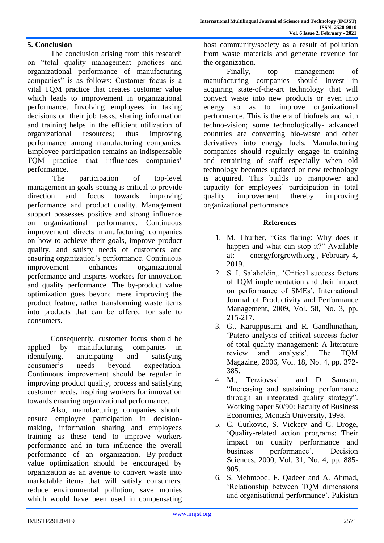# **5. Conclusion**

The conclusion arising from this research on "total quality management practices and organizational performance of manufacturing companies" is as follows: Customer focus is a vital TQM practice that creates customer value which leads to improvement in organizational performance. Involving employees in taking decisions on their job tasks, sharing information and training helps in the efficient utilization of organizational resources; thus improving performance among manufacturing companies. Employee participation remains an indispensable TQM practice that influences companies' performance.

 The participation of top-level management in goals-setting is critical to provide direction and focus towards improving performance and product quality. Management support possesses positive and strong influence on organizational performance. Continuous improvement directs manufacturing companies on how to achieve their goals, improve product quality, and satisfy needs of customers and ensuring organization's performance. Continuous improvement enhances organizational performance and inspires workers for innovation and quality performance. The by-product value optimization goes beyond mere improving the product feature, rather transforming waste items into products that can be offered for sale to consumers.

Consequently, customer focus should be applied by manufacturing companies in identifying, anticipating and satisfying consumer's needs beyond expectation. Continuous improvement should be regular in improving product quality, process and satisfying customer needs, inspiring workers for innovation towards ensuring organizational performance.

Also, manufacturing companies should ensure employee participation in decisionmaking, information sharing and employees training as these tend to improve workers performance and in turn influence the overall performance of an organization. By-product value optimization should be encouraged by organization as an avenue to convert waste into marketable items that will satisfy consumers, reduce environmental pollution, save monies which would have been used in compensating

host community/society as a result of pollution from waste materials and generate revenue for the organization.

Finally, top management of manufacturing companies should invest in acquiring state-of-the-art technology that will convert waste into new products or even into energy so as to improve organizational performance. This is the era of biofuels and with techno-vision; some technologically- advanced countries are converting bio-waste and other derivatives into energy fuels. Manufacturing companies should regularly engage in training and retraining of staff especially when old technology becomes updated or new technology is acquired. This builds up manpower and capacity for employees' participation in total quality improvement thereby improving organizational performance.

#### **References**

- 1. M. Thurber, "Gas flaring: Why does it happen and what can stop it?" Available at: energyforgrowth.org , February 4, 2019.
- 2. S. I. Salaheldin,. 'Critical success factors of TQM implementation and their impact on performance of SMEs'. International Journal of Productivity and Performance Management, 2009, Vol. 58, No. 3, pp. 215-217.
- 3. G., Karuppusami and R. Gandhinathan, 'Patero analysis of critical success factor of total quality management: A literature review and analysis'. The TQM Magazine, 2006, Vol. 18, No. 4, pp. 372- 385.
- 4. M., Terziovski and D. Samson, "Increasing and sustaining performance through an integrated quality strategy". Working paper 50/90: Faculty of Business Economics, Monash University, 1998.
- 5. C. Curkovic, S. Vickery and C. Droge, 'Quality-related action programs: Their impact on quality performance and business performance'. Decision Sciences, 2000, Vol. 31, No. 4, pp. 885- 905.
- 6. S. Mehmood, F. Qadeer and A. Ahmad, 'Relationship between TQM dimensions and organisational performance'. Pakistan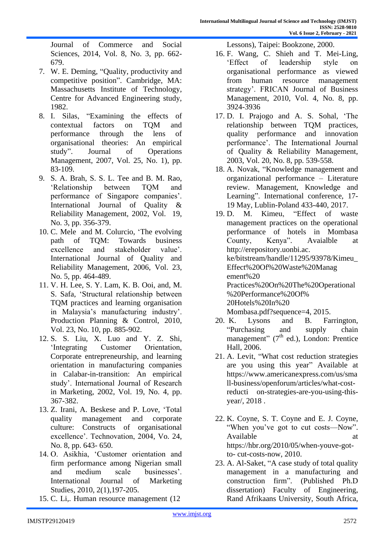Journal of Commerce and Social Sciences, 2014, Vol. 8, No. 3, pp. 662- 679.

- 7. W. E. Deming, "Quality, productivity and competitive position". Cambridge, MA: Massachusetts Institute of Technology, Centre for Advanced Engineering study, 1982.
- 8. I. Silas, "Examining the effects of contextual factors on TQM and performance through the lens of organisational theories: An empirical study". Journal of Operations Management, 2007, Vol. 25, No. 1), pp. 83-109.
- 9. S. A. Brah, S. S. L. Tee and B. M. Rao, 'Relationship between TQM and performance of Singapore companies'. International Journal of Quality & Reliability Management, 2002, Vol. 19, No. 3, pp. 356-379.
- 10. C. Mele and M. Colurcio, 'The evolving path of TQM: Towards business excellence and stakeholder value'. International Journal of Quality and Reliability Management, 2006, Vol. 23, No. 5, pp. 464-489.
- 11. V. H. Lee, S. Y. Lam, K. B. Ooi, and, M. S. Safa, 'Structural relationship between TQM practices and learning organisation in Malaysia's manufacturing industry'. Production Planning & Control, 2010, Vol. 23, No. 10, pp. 885-902.
- 12. S. S. Liu, X. Luo and Y. Z. Shi, 'Integrating Customer Orientation, Corporate entrepreneurship, and learning orientation in manufacturing companies in Calabar-in-transition: An empirical study'. International Journal of Research in Marketing, 2002, Vol. 19, No. 4, pp. 367-382.
- 13. Z. Irani, A. Beskese and P. Love, 'Total quality management and corporate culture: Constructs of organisational excellence'. Technovation, 2004, Vo. 24, No. 8, pp. 643- 650.
- 14. O. Asikhia, 'Customer orientation and firm performance among Nigerian small and medium scale businesses'. International Journal of Marketing Studies, 2010, 2(1),197-205.
- 15. C. Li,. Human resource management (12

Lessons), Taipei: Bookzone, 2000.

- 16. F. Wang, C. Shieh and T. Mei-Ling, 'Effect of leadership style on organisational performance as viewed from human resource management strategy'. FRICAN Journal of Business Management, 2010, Vol. 4, No. 8, pp. 3924-3936
- 17. D. I. Prajogo and A. S. Sohal, 'The relationship between TQM practices, quality performance and innovation performance'. The International Journal of Quality & Reliability Management, 2003, Vol. 20, No. 8, pp. 539-558.
- 18. A. Novak, "Knowledge management and organizational performance – Literature review. Management, Knowledge and Learning". International conference, 17- 19 May, Lublin-Poland 433-440, 2017.

19. D. M. Kimeu, "Effect of waste management practices on the operational performance of hotels in Mombasa County, Kenya[". Avaialble at](http://erepository.uonbi.ac/)  [http://erepository.uonbi.ac.](http://erepository.uonbi.ac/) ke/bitstream/handle/11295/93978/Kimeu\_ Effect%20Of%20Waste%20Manag ement%20 Practices%20On%20The%20Operational %20Performance%20Of% 20Hotels%20In%20 Mombasa.pdf?sequence=4, 2015.

- 20. K. Lysons and B. Farrington, "Purchasing and supply chain management"  $(7<sup>th</sup>$  ed.), London: Prentice Hall, 2006.
- 21. A. Levit, "What cost reduction strategies are you using this year" Available at ht[tps://www.americanexpress.com/us/sma](http://www.americanexpress.com/us/small-) [ll-b](http://www.americanexpress.com/us/small-)usiness/openforum/articles/what-costreducti on-strategies-are-you-using-thisyear/, 2018 .
- 22. K. Coyne, S. T. Coyne and E. J. Coyne, "When you've got to cut costs—Now". Available at a state at a state at a state at a state at a state at a state at a state at a state at a state at a state at a state at a state at a state at a state at a state at a state at a state at a state at a state at https://hbr.org/2010/05/when-youve-gotto- cut-costs-now, 2010.
- 23. A. Al-Saket, "A case study of total quality management in a manufacturing and construction firm". (Published Ph.D dissertation) Faculty of Engineering, Rand Afrikaans University, South Africa,